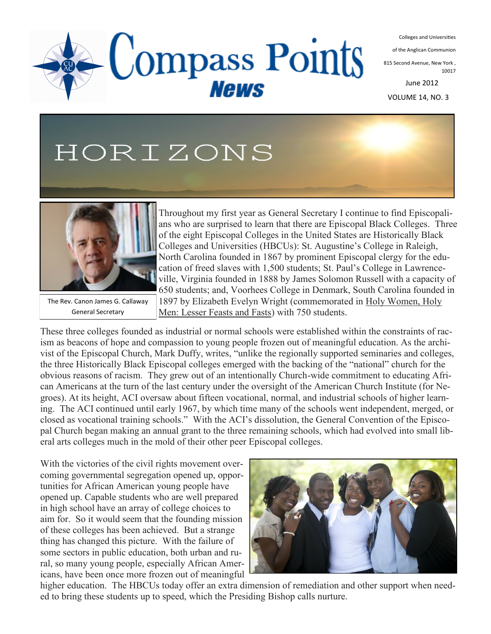Colleges and Universities

of the Anglican Communion

815 Second Avenue, New York , 10017

June 2012

VOLUME 14, NO. 3

# HORIZONS



The Rev. Canon James G. Callaway General Secretary

Throughout my first year as General Secretary I continue to find Episcopalians who are surprised to learn that there are Episcopal Black Colleges. Three of the eight Episcopal Colleges in the United States are Historically Black Colleges and Universities (HBCUs): St. Augustine's College in Raleigh, North Carolina founded in 1867 by prominent Episcopal clergy for the education of freed slaves with 1,500 students; St. Paul's College in Lawrenceville, Virginia founded in 1888 by James Solomon Russell with a capacity of 650 students; and, Voorhees College in Denmark, South Carolina founded in 1897 by Elizabeth Evelyn Wright (commemorated in Holy Women, Holy Men: Lesser Feasts and Fasts) with 750 students.

These three colleges founded as industrial or normal schools were established within the constraints of racism as beacons of hope and compassion to young people frozen out of meaningful education. As the archivist of the Episcopal Church, Mark Duffy, writes, "unlike the regionally supported seminaries and colleges, the three Historically Black Episcopal colleges emerged with the backing of the "national" church for the obvious reasons of racism. They grew out of an intentionally Church-wide commitment to educating African Americans at the turn of the last century under the oversight of the American Church Institute (for Negroes). At its height, ACI oversaw about fifteen vocational, normal, and industrial schools of higher learning. The ACI continued until early 1967, by which time many of the schools went independent, merged, or closed as vocational training schools." With the ACI's dissolution, the General Convention of the Episcopal Church began making an annual grant to the three remaining schools, which had evolved into small liberal arts colleges much in the mold of their other peer Episcopal colleges.

Compass Points

**News** 

With the victories of the civil rights movement overcoming governmental segregation opened up, opportunities for African American young people have opened up. Capable students who are well prepared in high school have an array of college choices to aim for. So it would seem that the founding mission of these colleges has been achieved. But a strange thing has changed this picture. With the failure of some sectors in public education, both urban and rural, so many young people, especially African Americans, have been once more frozen out of meaningful



higher education. The HBCUs today offer an extra dimension of remediation and other support when needed to bring these students up to speed, which the Presiding Bishop calls nurture.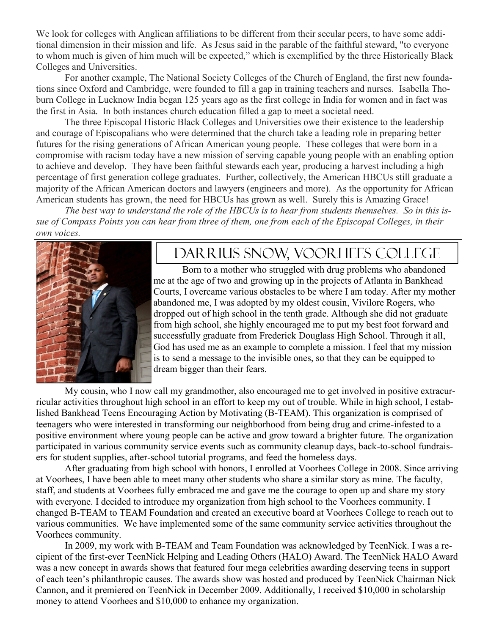We look for colleges with Anglican affiliations to be different from their secular peers, to have some additional dimension in their mission and life. As Jesus said in the parable of the faithful steward, "to everyone to whom much is given of him much will be expected," which is exemplified by the three Historically Black Colleges and Universities.

For another example, The National Society Colleges of the Church of England, the first new foundations since Oxford and Cambridge, were founded to fill a gap in training teachers and nurses. Isabella Thoburn College in Lucknow India began 125 years ago as the first college in India for women and in fact was the first in Asia. In both instances church education filled a gap to meet a societal need.

The three Episcopal Historic Black Colleges and Universities owe their existence to the leadership and courage of Episcopalians who were determined that the church take a leading role in preparing better futures for the rising generations of African American young people. These colleges that were born in a compromise with racism today have a new mission of serving capable young people with an enabling option to achieve and develop. They have been faithful stewards each year, producing a harvest including a high percentage of first generation college graduates. Further, collectively, the American HBCUs still graduate a majority of the African American doctors and lawyers (engineers and more). As the opportunity for African American students has grown, the need for HBCUs has grown as well. Surely this is Amazing Grace!

*The best way to understand the role of the HBCUs is to hear from students themselves. So in this issue of Compass Points you can hear from three of them, one from each of the Episcopal Colleges, in their own voices.*



#### Darrius Snow, Voorhees College

Born to a mother who struggled with drug problems who abandoned me at the age of two and growing up in the projects of Atlanta in Bankhead Courts, I overcame various obstacles to be where I am today. After my mother abandoned me, I was adopted by my oldest cousin, Vivilore Rogers, who dropped out of high school in the tenth grade. Although she did not graduate from high school, she highly encouraged me to put my best foot forward and successfully graduate from Frederick Douglass High School. Through it all, God has used me as an example to complete a mission. I feel that my mission is to send a message to the invisible ones, so that they can be equipped to dream bigger than their fears.

My cousin, who I now call my grandmother, also encouraged me to get involved in positive extracurricular activities throughout high school in an effort to keep my out of trouble. While in high school, I established Bankhead Teens Encouraging Action by Motivating (B-TEAM). This organization is comprised of teenagers who were interested in transforming our neighborhood from being drug and crime-infested to a positive environment where young people can be active and grow toward a brighter future. The organization participated in various community service events such as community cleanup days, back-to-school fundraisers for student supplies, after-school tutorial programs, and feed the homeless days.

After graduating from high school with honors, I enrolled at Voorhees College in 2008. Since arriving at Voorhees, I have been able to meet many other students who share a similar story as mine. The faculty, staff, and students at Voorhees fully embraced me and gave me the courage to open up and share my story with everyone. I decided to introduce my organization from high school to the Voorhees community. I changed B-TEAM to TEAM Foundation and created an executive board at Voorhees College to reach out to various communities. We have implemented some of the same community service activities throughout the Voorhees community.

In 2009, my work with B-TEAM and Team Foundation was acknowledged by TeenNick. I was a recipient of the first-ever TeenNick Helping and Leading Others (HALO) Award. The TeenNick HALO Award was a new concept in awards shows that featured four mega celebrities awarding deserving teens in support of each teen's philanthropic causes. The awards show was hosted and produced by TeenNick Chairman Nick Cannon, and it premiered on TeenNick in December 2009. Additionally, I received \$10,000 in scholarship money to attend Voorhees and \$10,000 to enhance my organization.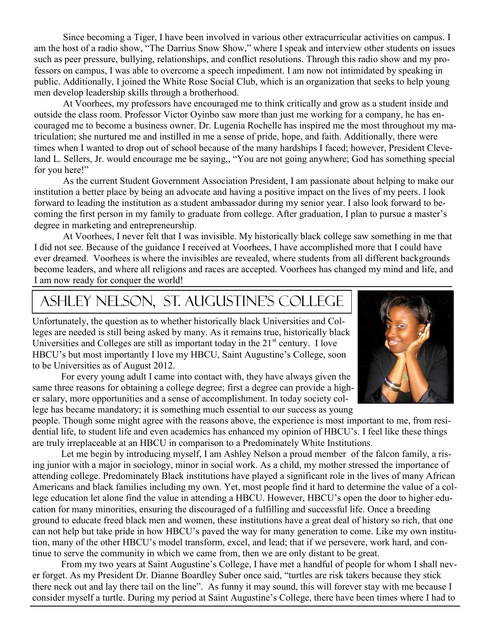Since becoming a Tiger, I have been involved in various other extracurricular activities on campus. I am the host of a radio show, "The Darrius Snow Show," where I speak and interview other students on issues such as peer pressure, bullying, relationships, and conflict resolutions. Through this radio show and my professors on campus, I was able to overcome a speech impediment. I am now not intimidated by speaking in public. Additionally, I joined the White Rose Social Club, which is an organization that seeks to help young men develop leadership skills through a brotherhood.

At Voorhees, my professors have encouraged me to think critically and grow as a student inside and outside the class room. Professor Victor Oyinbo saw more than just me working for a company, he has encouraged me to become a business owner. Dr. Lugenia Rochelle has inspired me the most throughout my matriculation; she nurtured me and instilled in me a sense of pride, hope, and faith. Additionally, there were times when I wanted to drop out of school because of the many hardships I faced; however, President Cleveland L. Sellers, Jr. would encourage me be saying,, "You are not going anywhere; God has something special for you here!"

As the current Student Government Association President, I am passionate about helping to make our institution a better place by being an advocate and having a positive impact on the lives of my peers. I look forward to leading the institution as a student ambassador during my senior year. I also look forward to becoming the first person in my family to graduate from college. After graduation, I plan to pursue a master's degree in marketing and entrepreneurship.

At Voorhees, I never felt that I was invisible. My historically black college saw something in me that I did not see. Because of the guidance I received at Voorhees, I have accomplished more that I could have ever dreamed. Voorhees is where the invisibles are revealed, where students from all different backgrounds become leaders, and where all religions and races are accepted. Voorhees has changed my mind and life, and I am now ready for conquer the world!

### Ashley Nelson, St. Augustine's College

Unfortunately, the question as to whether historically black Universities and Colleges are needed is still being asked by many. As it remains true, historically black Universities and Colleges are still as important today in the  $21<sup>st</sup>$  century. I love HBCU's but most importantly I love my HBCU, Saint Augustine's College, soon to be Universities as of August 2012.

For every young adult I came into contact with, they have always given the same three reasons for obtaining a college degree; first a degree can provide a higher salary, more opportunities and a sense of accomplishment. In today society college has became mandatory; it is something much essential to our success as young

people. Though some might agree with the reasons above, the experience is most important to me, from residential life, to student life and even academics has enhanced my opinion of HBCU's. I feel like these things are truly irreplaceable at an HBCU in comparison to a Predominately White Institutions.

Let me begin by introducing myself, I am Ashley Nelson a proud member of the falcon family, a rising junior with a major in sociology, minor in social work. As a child, my mother stressed the importance of attending college. Predominately Black institutions have played a significant role in the lives of many African Americans and black families including my own. Yet, most people find it hard to determine the value of a college education let alone find the value in attending a HBCU. However, HBCU's open the door to higher education for many minorities, ensuring the discouraged of a fulfilling and successful life. Once a breeding ground to educate freed black men and women, these institutions have a great deal of history so rich, that one can not help but take pride in how HBCU's paved the way for many generation to come. Like my own institution, many of the other HBCU's model transform, excel, and lead; that if we persevere, work hard, and continue to serve the community in which we came from, then we are only distant to be great.

From my two years at Saint Augustine's College, I have met a handful of people for whom I shall never forget. As my President Dr. Dianne Boardley Suber once said, "turtles are risk takers because they stick there neck out and lay there tail on the line". As funny it may sound, this will forever stay with me because I consider myself a turtle. During my period at Saint Augustine's College, there have been times where I had to

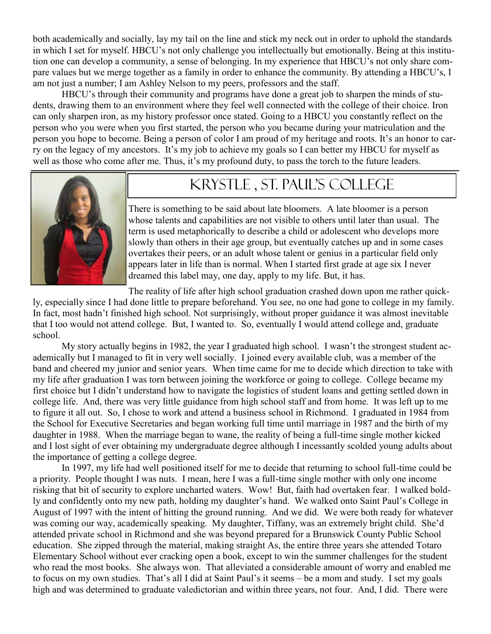both academically and socially, lay my tail on the line and stick my neck out in order to uphold the standards in which I set for myself. HBCU's not only challenge you intellectually but emotionally. Being at this institution one can develop a community, a sense of belonging. In my experience that HBCU's not only share compare values but we merge together as a family in order to enhance the community. By attending a HBCU's, I am not just a number; I am Ashley Nelson to my peers, professors and the staff.

HBCU's through their community and programs have done a great job to sharpen the minds of students, drawing them to an environment where they feel well connected with the college of their choice. Iron can only sharpen iron, as my history professor once stated. Going to a HBCU you constantly reflect on the person who you were when you first started, the person who you became during your matriculation and the person you hope to become. Being a person of color I am proud of my heritage and roots. It's an honor to carry on the legacy of my ancestors. It's my job to achieve my goals so I can better my HBCU for myself as well as those who come after me. Thus, it's my profound duty, to pass the torch to the future leaders.



#### KRYSTLE , St. Paul's College

There is something to be said about late bloomers. A late bloomer is a person whose talents and capabilities are not visible to others until later than usual. The term is used metaphorically to describe a child or adolescent who develops more slowly than others in their age group, but eventually catches up and in some cases overtakes their peers, or an adult whose talent or genius in a particular field only appears later in life than is normal. When I started first grade at age six I never dreamed this label may, one day, apply to my life. But, it has.

The reality of life after high school graduation crashed down upon me rather quickly, especially since I had done little to prepare beforehand. You see, no one had gone to college in my family. In fact, most hadn't finished high school. Not surprisingly, without proper guidance it was almost inevitable that I too would not attend college. But, I wanted to. So, eventually I would attend college and, graduate school.

My story actually begins in 1982, the year I graduated high school. I wasn't the strongest student academically but I managed to fit in very well socially. I joined every available club, was a member of the band and cheered my junior and senior years. When time came for me to decide which direction to take with my life after graduation I was torn between joining the workforce or going to college. College became my first choice but I didn't understand how to navigate the logistics of student loans and getting settled down in college life. And, there was very little guidance from high school staff and from home. It was left up to me to figure it all out. So, I chose to work and attend a business school in Richmond. I graduated in 1984 from the School for Executive Secretaries and began working full time until marriage in 1987 and the birth of my daughter in 1988. When the marriage began to wane, the reality of being a full-time single mother kicked and I lost sight of ever obtaining my undergraduate degree although I incessantly scolded young adults about the importance of getting a college degree.

In 1997, my life had well positioned itself for me to decide that returning to school full-time could be a priority. People thought I was nuts. I mean, here I was a full-time single mother with only one income risking that bit of security to explore uncharted waters. Wow! But, faith had overtaken fear. I walked boldly and confidently onto my new path, holding my daughter's hand. We walked onto Saint Paul's College in August of 1997 with the intent of hitting the ground running. And we did. We were both ready for whatever was coming our way, academically speaking. My daughter, Tiffany, was an extremely bright child. She'd attended private school in Richmond and she was beyond prepared for a Brunswick County Public School education. She zipped through the material, making straight As, the entire three years she attended Totaro Elementary School without ever cracking open a book, except to win the summer challenges for the student who read the most books. She always won. That alleviated a considerable amount of worry and enabled me to focus on my own studies. That's all I did at Saint Paul's it seems – be a mom and study. I set my goals high and was determined to graduate valedictorian and within three years, not four. And, I did. There were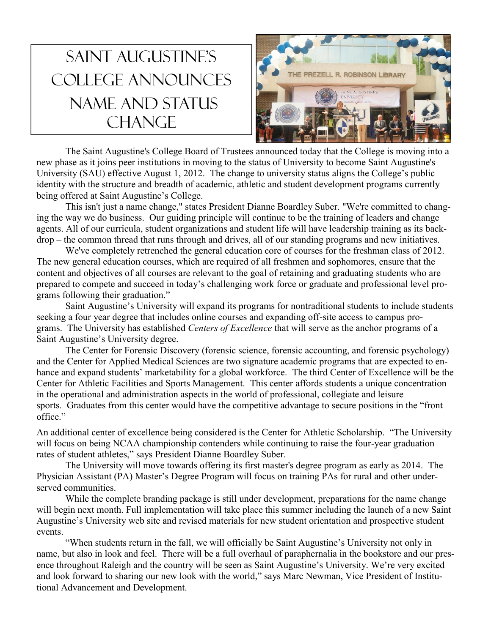## Saint Augustine's College announces name and status **CHANGE**



The Saint Augustine's College Board of Trustees announced today that the College is moving into a new phase as it joins peer institutions in moving to the status of University to become Saint Augustine's University (SAU) effective August 1, 2012. The change to university status aligns the College's public identity with the structure and breadth of academic, athletic and student development programs currently being offered at Saint Augustine's College.

This isn't just a name change," states President Dianne Boardley Suber. "We're committed to changing the way we do business. Our guiding principle will continue to be the training of leaders and change agents. All of our curricula, student organizations and student life will have leadership training as its backdrop – the common thread that runs through and drives, all of our standing programs and new initiatives.

We've completely retrenched the general education core of courses for the freshman class of 2012. The new general education courses, which are required of all freshmen and sophomores, ensure that the content and objectives of all courses are relevant to the goal of retaining and graduating students who are prepared to compete and succeed in today's challenging work force or graduate and professional level programs following their graduation."

Saint Augustine's University will expand its programs for nontraditional students to include students seeking a four year degree that includes online courses and expanding off-site access to campus programs. The University has established *Centers of Excellence* that will serve as the anchor programs of a Saint Augustine's University degree.

The Center for Forensic Discovery (forensic science, forensic accounting, and forensic psychology) and the Center for Applied Medical Sciences are two signature academic programs that are expected to enhance and expand students' marketability for a global workforce. The third Center of Excellence will be the Center for Athletic Facilities and Sports Management. This center affords students a unique concentration in the operational and administration aspects in the world of professional, collegiate and leisure sports. Graduates from this center would have the competitive advantage to secure positions in the "front office."

An additional center of excellence being considered is the Center for Athletic Scholarship. "The University will focus on being NCAA championship contenders while continuing to raise the four-year graduation rates of student athletes," says President Dianne Boardley Suber.

The University will move towards offering its first master's degree program as early as 2014. The Physician Assistant (PA) Master's Degree Program will focus on training PAs for rural and other underserved communities.

While the complete branding package is still under development, preparations for the name change will begin next month. Full implementation will take place this summer including the launch of a new Saint Augustine's University web site and revised materials for new student orientation and prospective student events.

"When students return in the fall, we will officially be Saint Augustine's University not only in name, but also in look and feel. There will be a full overhaul of paraphernalia in the bookstore and our presence throughout Raleigh and the country will be seen as Saint Augustine's University. We're very excited and look forward to sharing our new look with the world," says Marc Newman, Vice President of Institutional Advancement and Development.